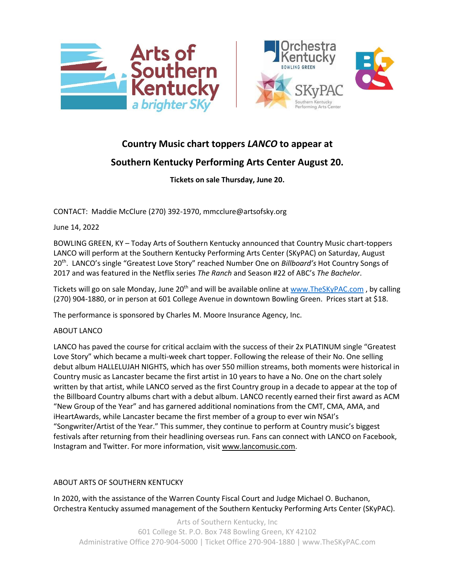



## **Country Music chart toppers** *LANCO* **to appear at**

## **Southern Kentucky Performing Arts Center August 20.**

**Tickets on sale Thursday, June 20.**

CONTACT: Maddie McClure (270) 392-1970, mmcclure@artsofsky.org

June 14, 2022

BOWLING GREEN, KY – Today Arts of Southern Kentucky announced that Country Music chart-toppers LANCO will perform at the Southern Kentucky Performing Arts Center (SKyPAC) on Saturday, August 20th . LANCO's single "Greatest Love Story" reached Number One on *Billboard's* Hot Country Songs of 2017 and was featured in the Netflix series *The Ranch* and Season #22 of ABC's *The Bachelor*.

Tickets will go on sale Monday, June 20<sup>th</sup> and will be available online at [www.TheSKyPAC.com](http://www.theskypac.com/), by calling (270) 904-1880, or in person at 601 College Avenue in downtown Bowling Green. Prices start at \$18.

The performance is sponsored by Charles M. Moore Insurance Agency, Inc.

## ABOUT LANCO

LANCO has paved the course for critical acclaim with the success of their 2x PLATINUM single "Greatest Love Story" which became a multi-week chart topper. Following the release of their No. One selling debut album HALLELUJAH NIGHTS, which has over 550 million streams, both moments were historical in Country music as Lancaster became the first artist in 10 years to have a No. One on the chart solely written by that artist, while LANCO served as the first Country group in a decade to appear at the top of the Billboard Country albums chart with a debut album. LANCO recently earned their first award as ACM "New Group of the Year" and has garnered additional nominations from the CMT, CMA, AMA, and iHeartAwards, while Lancaster became the first member of a group to ever win NSAI's "Songwriter/Artist of the Year." This summer, they continue to perform at Country music's biggest festivals after returning from their headlining overseas run. Fans can connect with LANCO on Facebook, Instagram and Twitter. For more information, visit [www.lancomusic.com.](http://www.lancomusic.com/)

## ABOUT ARTS OF SOUTHERN KENTUCKY

In 2020, with the assistance of the Warren County Fiscal Court and Judge Michael O. Buchanon, Orchestra Kentucky assumed management of the Southern Kentucky Performing Arts Center (SKyPAC).

Arts of Southern Kentucky, Inc 601 College St. P.O. Box 748 Bowling Green, KY 42102 Administrative Office 270-904-5000 | Ticket Office 270-904-1880 | www.TheSKyPAC.com